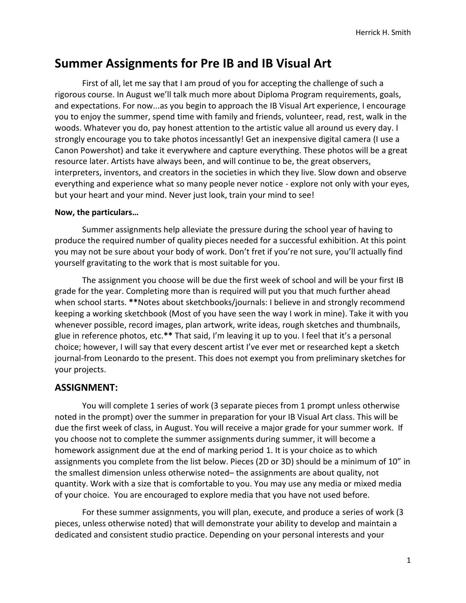# **Summer Assignments for Pre IB and IB Visual Art**

First of all, let me say that I am proud of you for accepting the challenge of such a rigorous course. In August we'll talk much more about Diploma Program requirements, goals, and expectations. For now...as you begin to approach the IB Visual Art experience, I encourage you to enjoy the summer, spend time with family and friends, volunteer, read, rest, walk in the woods. Whatever you do, pay honest attention to the artistic value all around us every day. I strongly encourage you to take photos incessantly! Get an inexpensive digital camera (I use a Canon Powershot) and take it everywhere and capture everything. These photos will be a great resource later. Artists have always been, and will continue to be, the great observers, interpreters, inventors, and creators in the societies in which they live. Slow down and observe everything and experience what so many people never notice - explore not only with your eyes, but your heart and your mind. Never just look, train your mind to see!

#### **Now, the particulars…**

Summer assignments help alleviate the pressure during the school year of having to produce the required number of quality pieces needed for a successful exhibition. At this point you may not be sure about your body of work. Don't fret if you're not sure, you'll actually find yourself gravitating to the work that is most suitable for you.

The assignment you choose will be due the first week of school and will be your first IB grade for the year. Completing more than is required will put you that much further ahead when school starts. **\*\***Notes about sketchbooks/journals: I believe in and strongly recommend keeping a working sketchbook (Most of you have seen the way I work in mine). Take it with you whenever possible, record images, plan artwork, write ideas, rough sketches and thumbnails, glue in reference photos, etc.**\*\*** That said, I'm leaving it up to you. I feel that it's a personal choice; however, I will say that every descent artist I've ever met or researched kept a sketch journal-from Leonardo to the present. This does not exempt you from preliminary sketches for your projects.

#### **ASSIGNMENT:**

You will complete 1 series of work (3 separate pieces from 1 prompt unless otherwise noted in the prompt) over the summer in preparation for your IB Visual Art class. This will be due the first week of class, in August. You will receive a major grade for your summer work. If you choose not to complete the summer assignments during summer, it will become a homework assignment due at the end of marking period 1. It is your choice as to which assignments you complete from the list below. Pieces (2D or 3D) should be a minimum of 10" in the smallest dimension unless otherwise noted– the assignments are about quality, not quantity. Work with a size that is comfortable to you. You may use any media or mixed media of your choice. You are encouraged to explore media that you have not used before.

For these summer assignments, you will plan, execute, and produce a series of work (3 pieces, unless otherwise noted) that will demonstrate your ability to develop and maintain a dedicated and consistent studio practice. Depending on your personal interests and your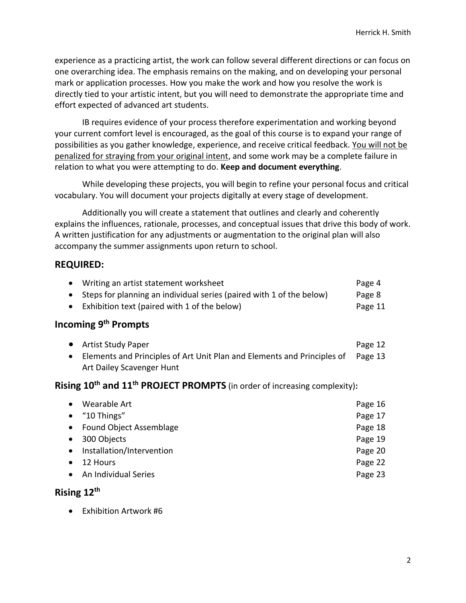experience as a practicing artist, the work can follow several different directions or can focus on one overarching idea. The emphasis remains on the making, and on developing your personal mark or application processes. How you make the work and how you resolve the work is directly tied to your artistic intent, but you will need to demonstrate the appropriate time and effort expected of advanced art students.

IB requires evidence of your process therefore experimentation and working beyond your current comfort level is encouraged, as the goal of this course is to expand your range of possibilities as you gather knowledge, experience, and receive critical feedback. You will not be penalized for straying from your original intent, and some work may be a complete failure in relation to what you were attempting to do. **Keep and document everything**.

While developing these projects, you will begin to refine your personal focus and critical vocabulary. You will document your projects digitally at every stage of development.

Additionally you will create a statement that outlines and clearly and coherently explains the influences, rationale, processes, and conceptual issues that drive this body of work. A written justification for any adjustments or augmentation to the original plan will also accompany the summer assignments upon return to school.

#### **REQUIRED:**

| Writing an artist statement worksheet                                  | Page 4  |
|------------------------------------------------------------------------|---------|
| • Steps for planning an individual series (paired with 1 of the below) | Page 8  |
| • Exhibition text (paired with 1 of the below)                         | Page 11 |

# **Incoming 9 th Prompts**

• Artist Study Paper Page 12 • Elements and Principles of Art Unit Plan and Elements and Principles of Page 13 Art Dailey Scavenger Hunt

# **Rising 10th and 11th PROJECT PROMPTS** (in order of increasing complexity)**:**

|           | • Wearable Art            | Page 16 |
|-----------|---------------------------|---------|
|           | $\bullet$ "10 Things"     | Page 17 |
|           | • Found Object Assemblage | Page 18 |
|           | • 300 Objects             | Page 19 |
| $\bullet$ | Installation/Intervention | Page 20 |
| $\bullet$ | 12 Hours                  | Page 22 |
|           | An Individual Series      | Page 23 |

#### **Rising 12th**

• Exhibition Artwork #6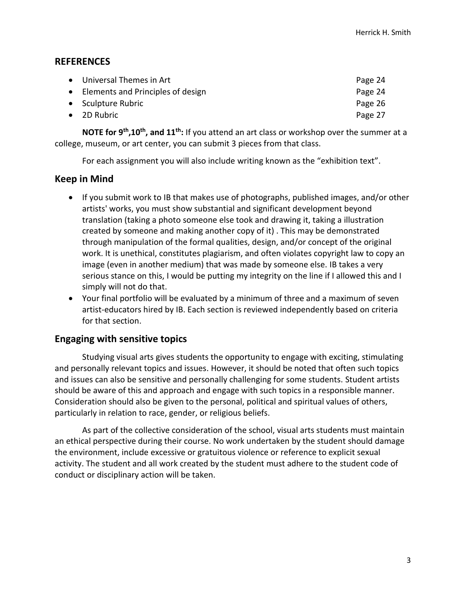#### **REFERENCES**

| • Universal Themes in Art           | Page 24 |
|-------------------------------------|---------|
| • Elements and Principles of design | Page 24 |
| • Sculpture Rubric                  | Page 26 |
| $\bullet$ 2D Rubric                 | Page 27 |
|                                     |         |

**NOTE for 9th,10th , and 11th:** If you attend an art class or workshop over the summer at a college, museum, or art center, you can submit 3 pieces from that class.

For each assignment you will also include writing known as the "exhibition text".

# **Keep in Mind**

- If you submit work to IB that makes use of photographs, published images, and/or other artists' works, you must show substantial and significant development beyond translation (taking a photo someone else took and drawing it, taking a illustration created by someone and making another copy of it) . This may be demonstrated through manipulation of the formal qualities, design, and/or concept of the original work. It is unethical, constitutes plagiarism, and often violates copyright law to copy an image (even in another medium) that was made by someone else. IB takes a very serious stance on this, I would be putting my integrity on the line if I allowed this and I simply will not do that.
- Your final portfolio will be evaluated by a minimum of three and a maximum of seven artist-educators hired by IB. Each section is reviewed independently based on criteria for that section.

# **Engaging with sensitive topics**

Studying visual arts gives students the opportunity to engage with exciting, stimulating and personally relevant topics and issues. However, it should be noted that often such topics and issues can also be sensitive and personally challenging for some students. Student artists should be aware of this and approach and engage with such topics in a responsible manner. Consideration should also be given to the personal, political and spiritual values of others, particularly in relation to race, gender, or religious beliefs.

As part of the collective consideration of the school, visual arts students must maintain an ethical perspective during their course. No work undertaken by the student should damage the environment, include excessive or gratuitous violence or reference to explicit sexual activity. The student and all work created by the student must adhere to the student code of conduct or disciplinary action will be taken.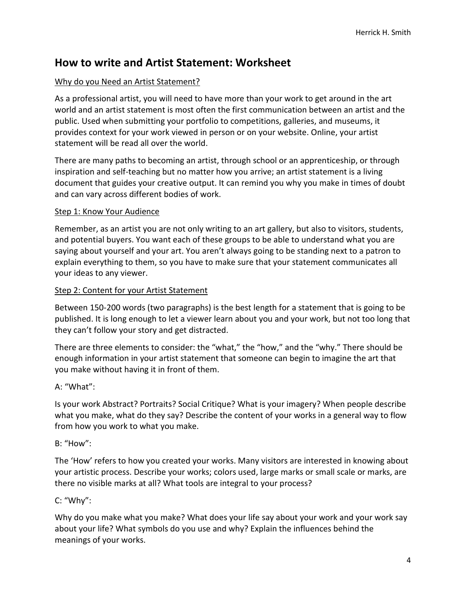# **How to write and Artist Statement: Worksheet**

#### Why do you Need an Artist Statement?

As a professional artist, you will need to have more than your work to get around in the art world and an artist statement is most often the first communication between an artist and the public. Used when submitting your portfolio to competitions, galleries, and museums, it provides context for your work viewed in person or on your website. Online, your artist statement will be read all over the world.

There are many paths to becoming an artist, through school or an apprenticeship, or through inspiration and self-teaching but no matter how you arrive; an artist statement is a living document that guides your creative output. It can remind you why you make in times of doubt and can vary across different bodies of work.

#### Step 1: Know Your Audience

Remember, as an artist you are not only writing to an art gallery, but also to visitors, students, and potential buyers. You want each of these groups to be able to understand what you are saying about yourself and your art. You aren't always going to be standing next to a patron to explain everything to them, so you have to make sure that your statement communicates all your ideas to any viewer.

#### Step 2: Content for your Artist Statement

Between 150-200 words (two paragraphs) is the best length for a statement that is going to be published. It is long enough to let a viewer learn about you and your work, but not too long that they can't follow your story and get distracted.

There are three elements to consider: the "what," the "how," and the "why." There should be enough information in your artist statement that someone can begin to imagine the art that you make without having it in front of them.

#### A: "What":

Is your work Abstract? Portraits? Social Critique? What is your imagery? When people describe what you make, what do they say? Describe the content of your works in a general way to flow from how you work to what you make.

#### B: "How":

The 'How' refers to how you created your works. Many visitors are interested in knowing about your artistic process. Describe your works; colors used, large marks or small scale or marks, are there no visible marks at all? What tools are integral to your process?

#### C: "Why":

Why do you make what you make? What does your life say about your work and your work say about your life? What symbols do you use and why? Explain the influences behind the meanings of your works.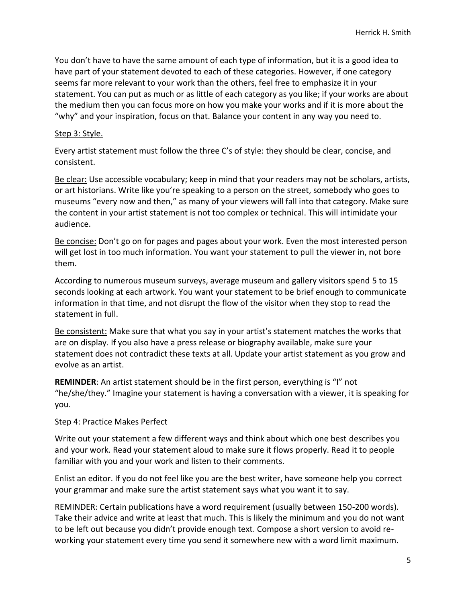You don't have to have the same amount of each type of information, but it is a good idea to have part of your statement devoted to each of these categories. However, if one category seems far more relevant to your work than the others, feel free to emphasize it in your statement. You can put as much or as little of each category as you like; if your works are about the medium then you can focus more on how you make your works and if it is more about the "why" and your inspiration, focus on that. Balance your content in any way you need to.

#### Step 3: Style.

Every artist statement must follow the three C's of style: they should be clear, concise, and consistent.

Be clear: Use accessible vocabulary; keep in mind that your readers may not be scholars, artists, or art historians. Write like you're speaking to a person on the street, somebody who goes to museums "every now and then," as many of your viewers will fall into that category. Make sure the content in your artist statement is not too complex or technical. This will intimidate your audience.

Be concise: Don't go on for pages and pages about your work. Even the most interested person will get lost in too much information. You want your statement to pull the viewer in, not bore them.

According to numerous museum surveys, average museum and gallery visitors spend 5 to 15 seconds looking at each artwork. You want your statement to be brief enough to communicate information in that time, and not disrupt the flow of the visitor when they stop to read the statement in full.

Be consistent: Make sure that what you say in your artist's statement matches the works that are on display. If you also have a press release or biography available, make sure your statement does not contradict these texts at all. Update your artist statement as you grow and evolve as an artist.

**REMINDER**: An artist statement should be in the first person, everything is "I" not "he/she/they." Imagine your statement is having a conversation with a viewer, it is speaking for you.

#### Step 4: Practice Makes Perfect

Write out your statement a few different ways and think about which one best describes you and your work. Read your statement aloud to make sure it flows properly. Read it to people familiar with you and your work and listen to their comments.

Enlist an editor. If you do not feel like you are the best writer, have someone help you correct your grammar and make sure the artist statement says what you want it to say.

REMINDER: Certain publications have a word requirement (usually between 150-200 words). Take their advice and write at least that much. This is likely the minimum and you do not want to be left out because you didn't provide enough text. Compose a short version to avoid reworking your statement every time you send it somewhere new with a word limit maximum.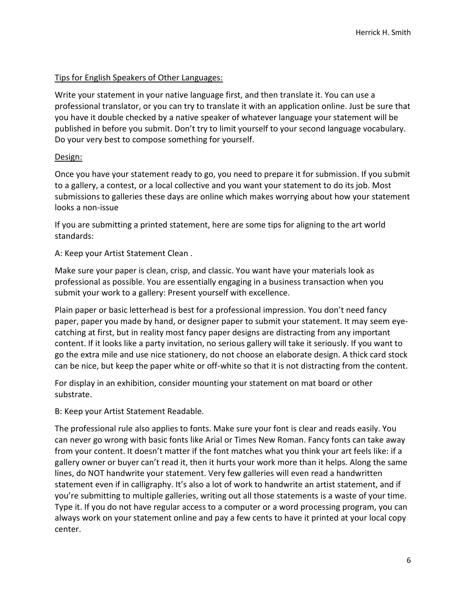#### Tips for English Speakers of Other Languages:

Write your statement in your native language first, and then translate it. You can use a professional translator, or you can try to translate it with an application online. Just be sure that you have it double checked by a native speaker of whatever language your statement will be published in before you submit. Don't try to limit yourself to your second language vocabulary. Do your very best to compose something for yourself.

#### Design:

Once you have your statement ready to go, you need to prepare it for submission. If you submit to a gallery, a contest, or a local collective and you want your statement to do its job. Most submissions to galleries these days are online which makes worrying about how your statement looks a non-issue

If you are submitting a printed statement, here are some tips for aligning to the art world standards:

A: Keep your Artist Statement Clean .

Make sure your paper is clean, crisp, and classic. You want have your materials look as professional as possible. You are essentially engaging in a business transaction when you submit your work to a gallery: Present yourself with excellence.

Plain paper or basic letterhead is best for a professional impression. You don't need fancy paper, paper you made by hand, or designer paper to submit your statement. It may seem eyecatching at first, but in reality most fancy paper designs are distracting from any important content. If it looks like a party invitation, no serious gallery will take it seriously. If you want to go the extra mile and use nice stationery, do not choose an elaborate design. A thick card stock can be nice, but keep the paper white or off-white so that it is not distracting from the content.

For display in an exhibition, consider mounting your statement on mat board or other substrate.

B: Keep your Artist Statement Readable.

The professional rule also applies to fonts. Make sure your font is clear and reads easily. You can never go wrong with basic fonts like Arial or Times New Roman. Fancy fonts can take away from your content. It doesn't matter if the font matches what you think your art feels like: if a gallery owner or buyer can't read it, then it hurts your work more than it helps. Along the same lines, do NOT handwrite your statement. Very few galleries will even read a handwritten statement even if in calligraphy. It's also a lot of work to handwrite an artist statement, and if you're submitting to multiple galleries, writing out all those statements is a waste of your time. Type it. If you do not have regular access to a computer or a word processing program, you can always work on your statement online and pay a few cents to have it printed at your local copy center.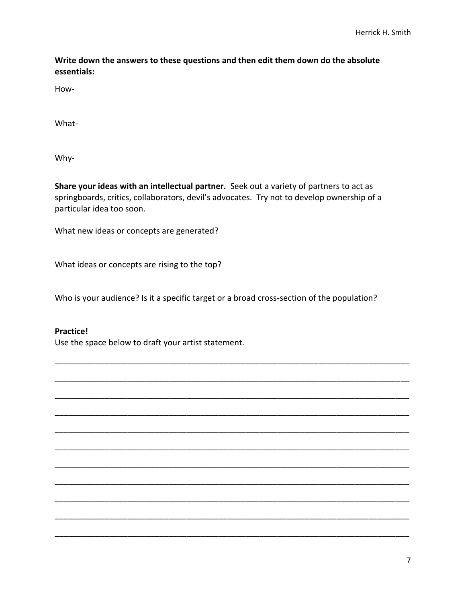**Write down the answers to these questions and then edit them down do the absolute essentials:**

How-

What-

Why-

**Share your ideas with an intellectual partner.** Seek out a variety of partners to act as springboards, critics, collaborators, devil's advocates. Try not to develop ownership of a particular idea too soon.

What new ideas or concepts are generated?

What ideas or concepts are rising to the top?

Who is your audience? Is it a specific target or a broad cross-section of the population?

\_\_\_\_\_\_\_\_\_\_\_\_\_\_\_\_\_\_\_\_\_\_\_\_\_\_\_\_\_\_\_\_\_\_\_\_\_\_\_\_\_\_\_\_\_\_\_\_\_\_\_\_\_\_\_\_\_\_\_\_\_\_\_\_\_\_\_\_\_\_\_\_\_\_\_\_\_\_

\_\_\_\_\_\_\_\_\_\_\_\_\_\_\_\_\_\_\_\_\_\_\_\_\_\_\_\_\_\_\_\_\_\_\_\_\_\_\_\_\_\_\_\_\_\_\_\_\_\_\_\_\_\_\_\_\_\_\_\_\_\_\_\_\_\_\_\_\_\_\_\_\_\_\_\_\_\_

\_\_\_\_\_\_\_\_\_\_\_\_\_\_\_\_\_\_\_\_\_\_\_\_\_\_\_\_\_\_\_\_\_\_\_\_\_\_\_\_\_\_\_\_\_\_\_\_\_\_\_\_\_\_\_\_\_\_\_\_\_\_\_\_\_\_\_\_\_\_\_\_\_\_\_\_\_\_

\_\_\_\_\_\_\_\_\_\_\_\_\_\_\_\_\_\_\_\_\_\_\_\_\_\_\_\_\_\_\_\_\_\_\_\_\_\_\_\_\_\_\_\_\_\_\_\_\_\_\_\_\_\_\_\_\_\_\_\_\_\_\_\_\_\_\_\_\_\_\_\_\_\_\_\_\_\_

\_\_\_\_\_\_\_\_\_\_\_\_\_\_\_\_\_\_\_\_\_\_\_\_\_\_\_\_\_\_\_\_\_\_\_\_\_\_\_\_\_\_\_\_\_\_\_\_\_\_\_\_\_\_\_\_\_\_\_\_\_\_\_\_\_\_\_\_\_\_\_\_\_\_\_\_\_\_

\_\_\_\_\_\_\_\_\_\_\_\_\_\_\_\_\_\_\_\_\_\_\_\_\_\_\_\_\_\_\_\_\_\_\_\_\_\_\_\_\_\_\_\_\_\_\_\_\_\_\_\_\_\_\_\_\_\_\_\_\_\_\_\_\_\_\_\_\_\_\_\_\_\_\_\_\_\_

\_\_\_\_\_\_\_\_\_\_\_\_\_\_\_\_\_\_\_\_\_\_\_\_\_\_\_\_\_\_\_\_\_\_\_\_\_\_\_\_\_\_\_\_\_\_\_\_\_\_\_\_\_\_\_\_\_\_\_\_\_\_\_\_\_\_\_\_\_\_\_\_\_\_\_\_\_\_

\_\_\_\_\_\_\_\_\_\_\_\_\_\_\_\_\_\_\_\_\_\_\_\_\_\_\_\_\_\_\_\_\_\_\_\_\_\_\_\_\_\_\_\_\_\_\_\_\_\_\_\_\_\_\_\_\_\_\_\_\_\_\_\_\_\_\_\_\_\_\_\_\_\_\_\_\_\_

\_\_\_\_\_\_\_\_\_\_\_\_\_\_\_\_\_\_\_\_\_\_\_\_\_\_\_\_\_\_\_\_\_\_\_\_\_\_\_\_\_\_\_\_\_\_\_\_\_\_\_\_\_\_\_\_\_\_\_\_\_\_\_\_\_\_\_\_\_\_\_\_\_\_\_\_\_\_

\_\_\_\_\_\_\_\_\_\_\_\_\_\_\_\_\_\_\_\_\_\_\_\_\_\_\_\_\_\_\_\_\_\_\_\_\_\_\_\_\_\_\_\_\_\_\_\_\_\_\_\_\_\_\_\_\_\_\_\_\_\_\_\_\_\_\_\_\_\_\_\_\_\_\_\_\_\_

\_\_\_\_\_\_\_\_\_\_\_\_\_\_\_\_\_\_\_\_\_\_\_\_\_\_\_\_\_\_\_\_\_\_\_\_\_\_\_\_\_\_\_\_\_\_\_\_\_\_\_\_\_\_\_\_\_\_\_\_\_\_\_\_\_\_\_\_\_\_\_\_\_\_\_\_\_\_

#### **Practice!**

Use the space below to draft your artist statement.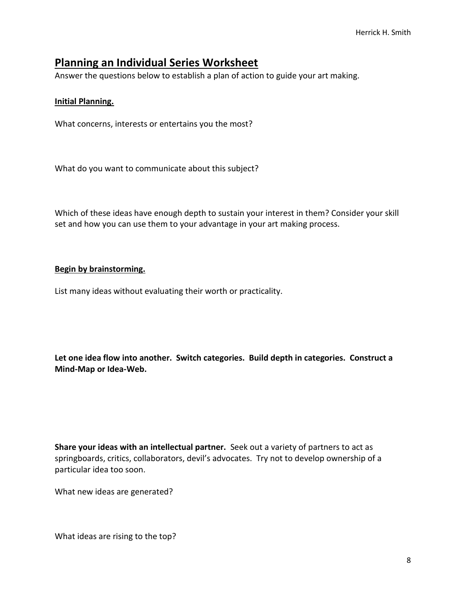# **Planning an Individual Series Worksheet**

Answer the questions below to establish a plan of action to guide your art making.

#### **Initial Planning.**

What concerns, interests or entertains you the most?

What do you want to communicate about this subject?

Which of these ideas have enough depth to sustain your interest in them? Consider your skill set and how you can use them to your advantage in your art making process.

#### **Begin by brainstorming.**

List many ideas without evaluating their worth or practicality.

**Let one idea flow into another. Switch categories. Build depth in categories. Construct a Mind-Map or Idea-Web.**

**Share your ideas with an intellectual partner.** Seek out a variety of partners to act as springboards, critics, collaborators, devil's advocates. Try not to develop ownership of a particular idea too soon.

What new ideas are generated?

What ideas are rising to the top?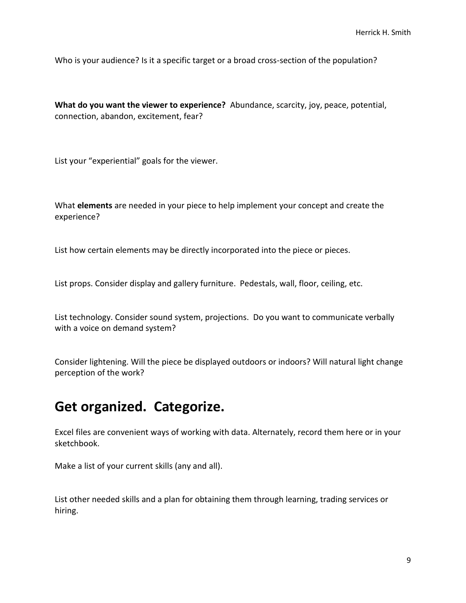Who is your audience? Is it a specific target or a broad cross-section of the population?

**What do you want the viewer to experience?** Abundance, scarcity, joy, peace, potential, connection, abandon, excitement, fear?

List your "experiential" goals for the viewer.

What **elements** are needed in your piece to help implement your concept and create the experience?

List how certain elements may be directly incorporated into the piece or pieces.

List props. Consider display and gallery furniture. Pedestals, wall, floor, ceiling, etc.

List technology. Consider sound system, projections. Do you want to communicate verbally with a voice on demand system?

Consider lightening. Will the piece be displayed outdoors or indoors? Will natural light change perception of the work?

# **Get organized. Categorize.**

Excel files are convenient ways of working with data. Alternately, record them here or in your sketchbook.

Make a list of your current skills (any and all).

List other needed skills and a plan for obtaining them through learning, trading services or hiring.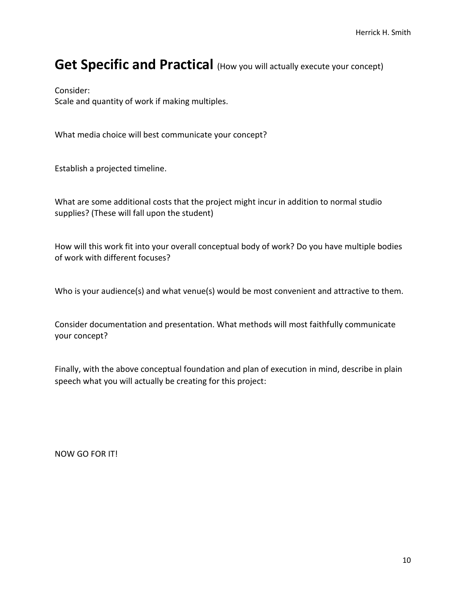# Get Specific and Practical (How you will actually execute your concept)

Consider:

Scale and quantity of work if making multiples.

What media choice will best communicate your concept?

Establish a projected timeline.

What are some additional costs that the project might incur in addition to normal studio supplies? (These will fall upon the student)

How will this work fit into your overall conceptual body of work? Do you have multiple bodies of work with different focuses?

Who is your audience(s) and what venue(s) would be most convenient and attractive to them.

Consider documentation and presentation. What methods will most faithfully communicate your concept?

Finally, with the above conceptual foundation and plan of execution in mind, describe in plain speech what you will actually be creating for this project:

NOW GO FOR IT!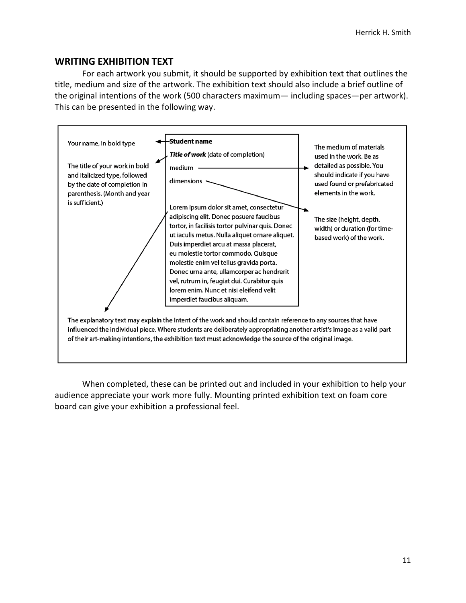#### **WRITING EXHIBITION TEXT**

For each artwork you submit, it should be supported by exhibition text that outlines the title, medium and size of the artwork. The exhibition text should also include a brief outline of the original intentions of the work (500 characters maximum— including spaces—per artwork). This can be presented in the following way.



When completed, these can be printed out and included in your exhibition to help your audience appreciate your work more fully. Mounting printed exhibition text on foam core board can give your exhibition a professional feel.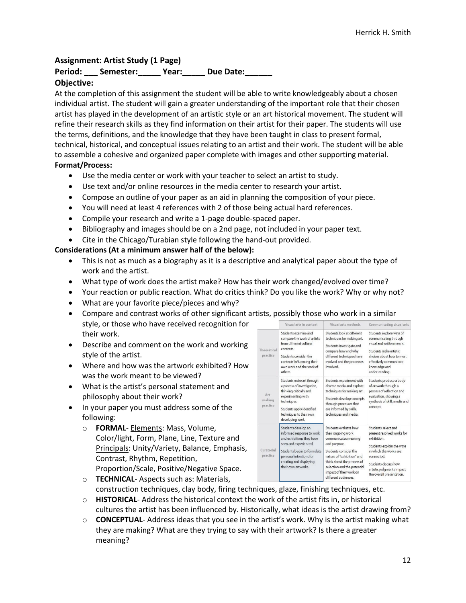#### **Assignment: Artist Study (1 Page)**

# Period: Semester: Year: Due Date:

#### **Objective:**

At the completion of this assignment the student will be able to write knowledgeably about a chosen individual artist. The student will gain a greater understanding of the important role that their chosen artist has played in the development of an artistic style or an art historical movement. The student will refine their research skills as they find information on their artist for their paper. The students will use the terms, definitions, and the knowledge that they have been taught in class to present formal, technical, historical, and conceptual issues relating to an artist and their work. The student will be able to assemble a cohesive and organized paper complete with images and other supporting material. **Format/Process:**

- Use the media center or work with your teacher to select an artist to study.
- Use text and/or online resources in the media center to research your artist.
- Compose an outline of your paper as an aid in planning the composition of your piece.
- You will need at least 4 references with 2 of those being actual hard references.
- Compile your research and write a 1-page double-spaced paper.
- Bibliography and images should be on a 2nd page, not included in your paper text.
- Cite in the Chicago/Turabian style following the hand-out provided.

#### **Considerations (At a minimum answer half of the below):**

- This is not as much as a biography as it is a descriptive and analytical paper about the type of work and the artist.
- What type of work does the artist make? How has their work changed/evolved over time?
- Your reaction or public reaction. What do critics think? Do you like the work? Why or why not?
- What are your favorite piece/pieces and why?
- Compare and contrast works of other significant artists, possibly those who work in style, or those who have received recognition for their work.
- Describe and comment on the work and working style of the artist.
- Where and how was the artwork exhibited? How was the work meant to be viewed?
- What is the artist's personal statement and philosophy about their work?
- In your paper you must address some of the following:
	- o **FORMAL** Elements: Mass, Volume, Color/light, Form, Plane, Line, Texture and Principals: Unity/Variety, Balance, Emphasis, Contrast, Rhythm, Repetition, Proportion/Scale, Positive/Negative Space.

|                            | Visual arts in context                                                                                                                                                                                             | Visual arts methods                                                                                                                                                                                                                                        | Communicating visual arts                                                                                                                                                                                              |
|----------------------------|--------------------------------------------------------------------------------------------------------------------------------------------------------------------------------------------------------------------|------------------------------------------------------------------------------------------------------------------------------------------------------------------------------------------------------------------------------------------------------------|------------------------------------------------------------------------------------------------------------------------------------------------------------------------------------------------------------------------|
| Theoretical<br>practice    | Students examine and<br>compare the work of artists<br>from different cultural<br>contexts.<br>Students consider the<br>contexts influencing their<br>own work and the work of<br>others.                          | Students look at different<br>techniques for making art.<br>Students investigate and<br>compare how and why<br>different techniques have<br>evolved and the processes<br>involved.                                                                         | Students explore ways of<br>communicating through<br>visual and written means.<br>Students make artistic<br>choices about how to most<br>effectively communicate<br>knowledge and<br>understanding.                    |
| Art-<br>making<br>practice | Students make art through<br>a process of investigation,<br>thinking critically and<br>experimenting with<br>techniques.<br>Students apply identified<br>techniques to their own<br>developing work.               | Students experiment with<br>diverse media and explore<br>techniques for making art.<br>Students develop concepts<br>through processes that<br>are informed by skills,<br>techniques and media.                                                             | Students produce a body<br>of artwork through a<br>process of reflection and<br>evaluation, showing a<br>synthesis of skill, media and<br>concept.                                                                     |
| Curatorial<br>practice     | Students develop an<br>informed response to work<br>and exhibitions they have<br>seen and experienced.<br>Students begin to formulate<br>personal intentions for<br>creating and displaying<br>their own artworks. | Students evaluate how<br>their ongoing work<br>communicates meaning<br>and purpose.<br>Students consider the<br>nature of "exhibition" and<br>think about the process of<br>selection and the potential<br>impact of their work on<br>different audiences. | Students select and<br>present resolved works for<br>exhibition<br>Students explain the ways<br>in which the works are<br>connected.<br>Students discuss how<br>artistic judgments impact<br>the overall presentation. |

- o **TECHNICAL** Aspects such as: Materials, construction techniques, clay body, firing techniques, glaze, finishing techniques, etc.
- o **HISTORICAL** Address the historical context the work of the artist fits in, or historical cultures the artist has been influenced by. Historically, what ideas is the artist drawing from?
- o **CONCEPTUAL** Address ideas that you see in the artist's work. Why is the artist making what they are making? What are they trying to say with their artwork? Is there a greater meaning?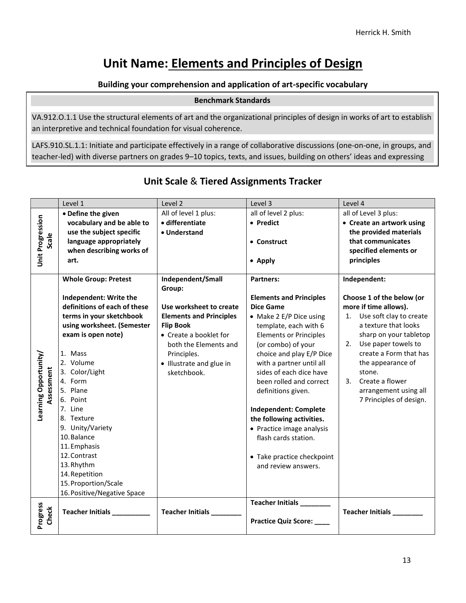# **Unit Name: Elements and Principles of Design**

#### **Building your comprehension and application of art-specific vocabulary**

#### **Benchmark Standards**

VA.912.O.1.1 Use the structural elements of art and the organizational principles of design in works of art to establish an interpretive and technical foundation for visual coherence.

LAFS.910.SL.1.1: Initiate and participate effectively in a range of collaborative discussions (one-on-one, in groups, and teacher-led) with diverse partners on grades 9–10 topics, texts, and issues, building on others' ideas and expressing

|                       | Level 1                      | Level 2                        | Level 3                        | Level 4                    |
|-----------------------|------------------------------|--------------------------------|--------------------------------|----------------------------|
|                       | • Define the given           | All of level 1 plus:           | all of level 2 plus:           | all of Level 3 plus:       |
|                       | vocabulary and be able to    | · differentiate                | • Predict                      | • Create an artwork using  |
|                       | use the subject specific     | • Understand                   |                                | the provided materials     |
| Scale                 | language appropriately       |                                | • Construct                    | that communicates          |
|                       | when describing works of     |                                |                                | specified elements or      |
| Unit Progression      | art.                         |                                | • Apply                        | principles                 |
|                       |                              |                                |                                |                            |
|                       | <b>Whole Group: Pretest</b>  | Independent/Small              | <b>Partners:</b>               | Independent:               |
|                       |                              | Group:                         |                                |                            |
|                       | Independent: Write the       |                                | <b>Elements and Principles</b> | Choose 1 of the below (or  |
|                       | definitions of each of these | Use worksheet to create        | <b>Dice Game</b>               | more if time allows).      |
|                       | terms in your sketchbook     | <b>Elements and Principles</b> | • Make 2 E/P Dice using        | 1. Use soft clay to create |
|                       | using worksheet. (Semester   | <b>Flip Book</b>               | template, each with 6          | a texture that looks       |
|                       | exam is open note)           | • Create a booklet for         | <b>Elements or Principles</b>  | sharp on your tabletop     |
|                       |                              | both the Elements and          | (or combo) of your             | Use paper towels to<br>2.  |
|                       | 1. Mass                      | Principles.                    | choice and play E/P Dice       | create a Form that has     |
| Learning Opportunity/ | 2. Volume                    | • Illustrate and glue in       | with a partner until all       | the appearance of          |
| Assessment            | 3. Color/Light               | sketchbook.                    | sides of each dice have        | stone.                     |
|                       | 4. Form                      |                                | been rolled and correct        | Create a flower<br>3.      |
|                       | 5. Plane                     |                                | definitions given.             | arrangement using all      |
|                       | 6. Point                     |                                |                                | 7 Principles of design.    |
|                       | 7. Line                      |                                | Independent: Complete          |                            |
|                       | 8. Texture                   |                                | the following activities.      |                            |
|                       | 9. Unity/Variety             |                                | • Practice image analysis      |                            |
|                       | 10. Balance                  |                                | flash cards station.           |                            |
|                       | 11. Emphasis                 |                                |                                |                            |
|                       | 12. Contrast                 |                                | • Take practice checkpoint     |                            |
|                       | 13. Rhythm                   |                                | and review answers.            |                            |
|                       | 14. Repetition               |                                |                                |                            |
|                       | 15. Proportion/Scale         |                                |                                |                            |
|                       | 16. Positive/Negative Space  |                                |                                |                            |
|                       |                              |                                | Teacher Initials ________      |                            |
| Progress<br>Check     | Teacher Initials             | <b>Teacher Initials</b>        |                                | Teacher Initials           |
|                       |                              |                                | <b>Practice Quiz Score:</b>    |                            |
|                       |                              |                                |                                |                            |

# **Unit Scale** & **Tiered Assignments Tracker**

their own clearly and persuasively.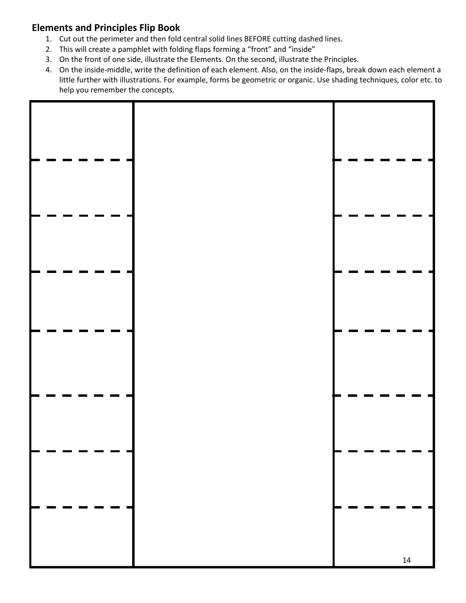# **Elements and Principles Flip Book**

- 1. Cut out the perimeter and then fold central solid lines BEFORE cutting dashed lines.
- 2. This will create a pamphlet with folding flaps forming a "front" and "inside"
- 3. On the front of one side, illustrate the Elements. On the second, illustrate the Principles.
- 4. On the inside-middle, write the definition of each element. Also, on the inside-flaps, break down each element a little further with illustrations. For example, forms be geometric or organic. Use shading techniques, color etc. to help you remember the concepts.

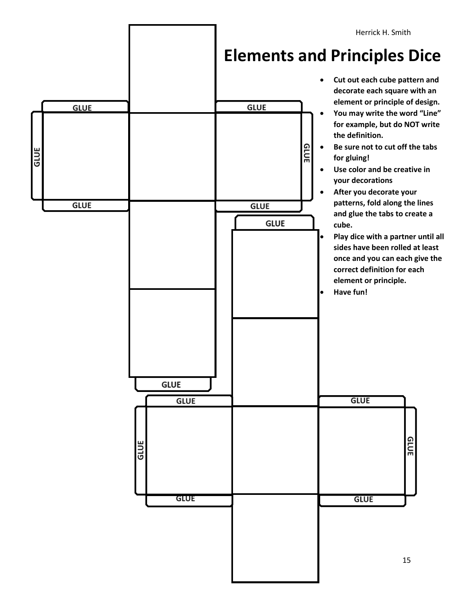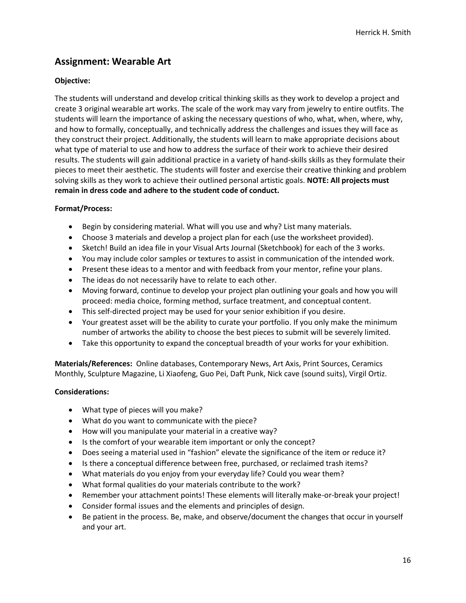# **Assignment: Wearable Art**

#### **Objective:**

The students will understand and develop critical thinking skills as they work to develop a project and create 3 original wearable art works. The scale of the work may vary from jewelry to entire outfits. The students will learn the importance of asking the necessary questions of who, what, when, where, why, and how to formally, conceptually, and technically address the challenges and issues they will face as they construct their project. Additionally, the students will learn to make appropriate decisions about what type of material to use and how to address the surface of their work to achieve their desired results. The students will gain additional practice in a variety of hand-skills skills as they formulate their pieces to meet their aesthetic. The students will foster and exercise their creative thinking and problem solving skills as they work to achieve their outlined personal artistic goals. **NOTE: All projects must remain in dress code and adhere to the student code of conduct.**

#### **Format/Process:**

- Begin by considering material. What will you use and why? List many materials.
- Choose 3 materials and develop a project plan for each (use the worksheet provided).
- Sketch! Build an idea file in your Visual Arts Journal (Sketchbook) for each of the 3 works.
- You may include color samples or textures to assist in communication of the intended work.
- Present these ideas to a mentor and with feedback from your mentor, refine your plans.
- The ideas do not necessarily have to relate to each other.
- Moving forward, continue to develop your project plan outlining your goals and how you will proceed: media choice, forming method, surface treatment, and conceptual content.
- This self-directed project may be used for your senior exhibition if you desire.
- Your greatest asset will be the ability to curate your portfolio. If you only make the minimum number of artworks the ability to choose the best pieces to submit will be severely limited.
- Take this opportunity to expand the conceptual breadth of your works for your exhibition.

**Materials/References:** Online databases, Contemporary News, Art Axis, Print Sources, Ceramics Monthly, Sculpture Magazine, Li Xiaofeng, Guo Pei, Daft Punk, Nick cave (sound suits), Virgil Ortiz.

#### **Considerations:**

- What type of pieces will you make?
- What do you want to communicate with the piece?
- How will you manipulate your material in a creative way?
- Is the comfort of your wearable item important or only the concept?
- Does seeing a material used in "fashion" elevate the significance of the item or reduce it?
- Is there a conceptual difference between free, purchased, or reclaimed trash items?
- What materials do you enjoy from your everyday life? Could you wear them?
- What formal qualities do your materials contribute to the work?
- Remember your attachment points! These elements will literally make-or-break your project!
- Consider formal issues and the elements and principles of design.
- Be patient in the process. Be, make, and observe/document the changes that occur in yourself and your art.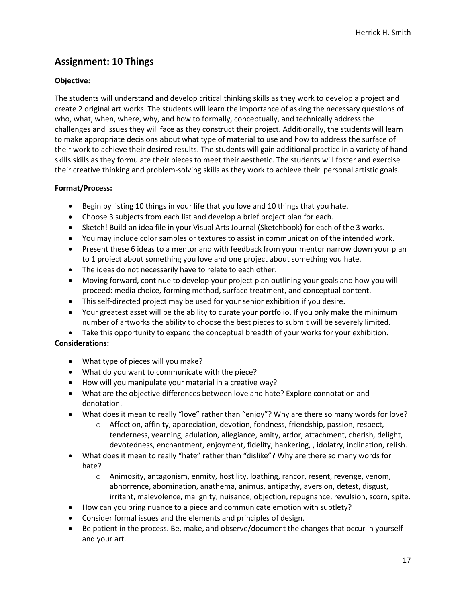# **Assignment: 10 Things**

#### **Objective:**

The students will understand and develop critical thinking skills as they work to develop a project and create 2 original art works. The students will learn the importance of asking the necessary questions of who, what, when, where, why, and how to formally, conceptually, and technically address the challenges and issues they will face as they construct their project. Additionally, the students will learn to make appropriate decisions about what type of material to use and how to address the surface of their work to achieve their desired results. The students will gain additional practice in a variety of handskills skills as they formulate their pieces to meet their aesthetic. The students will foster and exercise their creative thinking and problem-solving skills as they work to achieve their personal artistic goals.

#### **Format/Process:**

- Begin by listing 10 things in your life that you love and 10 things that you hate.
- Choose 3 subjects from each list and develop a brief project plan for each.
- Sketch! Build an idea file in your Visual Arts Journal (Sketchbook) for each of the 3 works.
- You may include color samples or textures to assist in communication of the intended work.
- Present these 6 ideas to a mentor and with feedback from your mentor narrow down your plan to 1 project about something you love and one project about something you hate.
- The ideas do not necessarily have to relate to each other.
- Moving forward, continue to develop your project plan outlining your goals and how you will proceed: media choice, forming method, surface treatment, and conceptual content.
- This self-directed project may be used for your senior exhibition if you desire.
- Your greatest asset will be the ability to curate your portfolio. If you only make the minimum number of artworks the ability to choose the best pieces to submit will be severely limited.

• Take this opportunity to expand the conceptual breadth of your works for your exhibition. **Considerations:**

- What type of pieces will you make?
- What do you want to communicate with the piece?
- How will you manipulate your material in a creative way?
- What are the objective differences between love and hate? Explore connotation and denotation.
- What does it mean to really "love" rather than "enjoy"? Why are there so many words for love?
	- $\circ$  Affection, affinity, appreciation, devotion, fondness, friendship, passion, respect, tenderness, yearning, adulation, allegiance, amity, ardor, attachment, cherish, delight, devotedness, enchantment, enjoyment, fidelity, hankering, , idolatry, inclination, relish.
- What does it mean to really "hate" rather than "dislike"? Why are there so many words for hate?
	- o Animosity, antagonism, enmity, hostility, loathing, rancor, resent, revenge, venom, abhorrence, abomination, anathema, animus, antipathy, aversion, detest, disgust, irritant, malevolence, malignity, nuisance, objection, repugnance, revulsion, scorn, spite.
- How can you bring nuance to a piece and communicate emotion with subtlety?
- Consider formal issues and the elements and principles of design.
- Be patient in the process. Be, make, and observe/document the changes that occur in yourself and your art.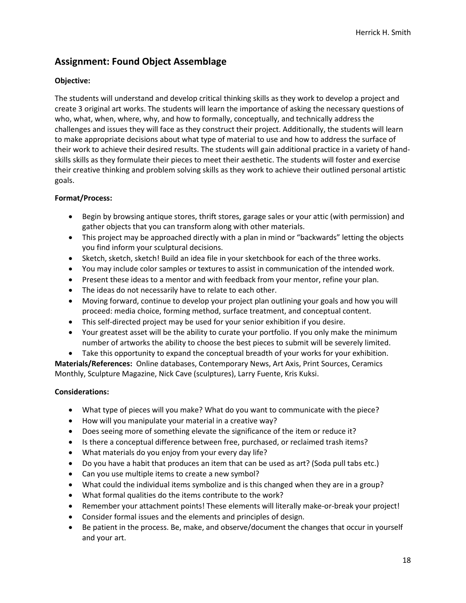# **Assignment: Found Object Assemblage**

#### **Objective:**

The students will understand and develop critical thinking skills as they work to develop a project and create 3 original art works. The students will learn the importance of asking the necessary questions of who, what, when, where, why, and how to formally, conceptually, and technically address the challenges and issues they will face as they construct their project. Additionally, the students will learn to make appropriate decisions about what type of material to use and how to address the surface of their work to achieve their desired results. The students will gain additional practice in a variety of handskills skills as they formulate their pieces to meet their aesthetic. The students will foster and exercise their creative thinking and problem solving skills as they work to achieve their outlined personal artistic goals.

#### **Format/Process:**

- Begin by browsing antique stores, thrift stores, garage sales or your attic (with permission) and gather objects that you can transform along with other materials.
- This project may be approached directly with a plan in mind or "backwards" letting the objects you find inform your sculptural decisions.
- Sketch, sketch, sketch! Build an idea file in your sketchbook for each of the three works.
- You may include color samples or textures to assist in communication of the intended work.
- Present these ideas to a mentor and with feedback from your mentor, refine your plan.
- The ideas do not necessarily have to relate to each other.
- Moving forward, continue to develop your project plan outlining your goals and how you will proceed: media choice, forming method, surface treatment, and conceptual content.
- This self-directed project may be used for your senior exhibition if you desire.
- Your greatest asset will be the ability to curate your portfolio. If you only make the minimum number of artworks the ability to choose the best pieces to submit will be severely limited.
- Take this opportunity to expand the conceptual breadth of your works for your exhibition.

**Materials/References:** Online databases, Contemporary News, Art Axis, Print Sources, Ceramics Monthly, Sculpture Magazine, Nick Cave (sculptures), Larry Fuente, Kris Kuksi.

#### **Considerations:**

- What type of pieces will you make? What do you want to communicate with the piece?
- How will you manipulate your material in a creative way?
- Does seeing more of something elevate the significance of the item or reduce it?
- Is there a conceptual difference between free, purchased, or reclaimed trash items?
- What materials do you enjoy from your every day life?
- Do you have a habit that produces an item that can be used as art? (Soda pull tabs etc.)
- Can you use multiple items to create a new symbol?
- What could the individual items symbolize and is this changed when they are in a group?
- What formal qualities do the items contribute to the work?
- Remember your attachment points! These elements will literally make-or-break your project!
- Consider formal issues and the elements and principles of design.
- Be patient in the process. Be, make, and observe/document the changes that occur in yourself and your art.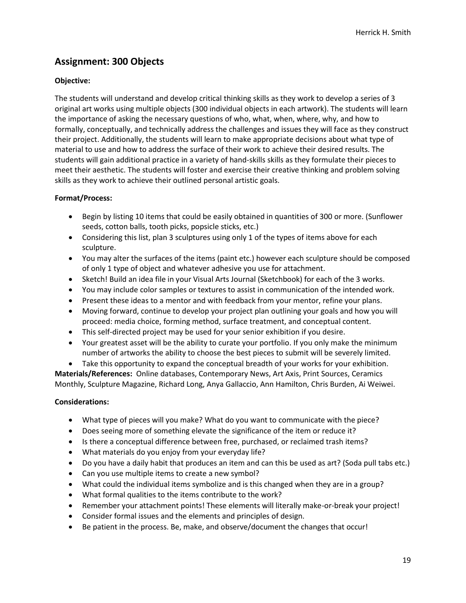# **Assignment: 300 Objects**

#### **Objective:**

The students will understand and develop critical thinking skills as they work to develop a series of 3 original art works using multiple objects (300 individual objects in each artwork). The students will learn the importance of asking the necessary questions of who, what, when, where, why, and how to formally, conceptually, and technically address the challenges and issues they will face as they construct their project. Additionally, the students will learn to make appropriate decisions about what type of material to use and how to address the surface of their work to achieve their desired results. The students will gain additional practice in a variety of hand-skills skills as they formulate their pieces to meet their aesthetic. The students will foster and exercise their creative thinking and problem solving skills as they work to achieve their outlined personal artistic goals.

#### **Format/Process:**

- Begin by listing 10 items that could be easily obtained in quantities of 300 or more. (Sunflower seeds, cotton balls, tooth picks, popsicle sticks, etc.)
- Considering this list, plan 3 sculptures using only 1 of the types of items above for each sculpture.
- You may alter the surfaces of the items (paint etc.) however each sculpture should be composed of only 1 type of object and whatever adhesive you use for attachment.
- Sketch! Build an idea file in your Visual Arts Journal (Sketchbook) for each of the 3 works.
- You may include color samples or textures to assist in communication of the intended work.
- Present these ideas to a mentor and with feedback from your mentor, refine your plans.
- Moving forward, continue to develop your project plan outlining your goals and how you will proceed: media choice, forming method, surface treatment, and conceptual content.
- This self-directed project may be used for your senior exhibition if you desire.
- Your greatest asset will be the ability to curate your portfolio. If you only make the minimum number of artworks the ability to choose the best pieces to submit will be severely limited.

• Take this opportunity to expand the conceptual breadth of your works for your exhibition. **Materials/References:** Online databases, Contemporary News, Art Axis, Print Sources, Ceramics Monthly, Sculpture Magazine, Richard Long, Anya Gallaccio, Ann Hamilton, Chris Burden, Ai Weiwei.

#### **Considerations:**

- What type of pieces will you make? What do you want to communicate with the piece?
- Does seeing more of something elevate the significance of the item or reduce it?
- Is there a conceptual difference between free, purchased, or reclaimed trash items?
- What materials do you enjoy from your everyday life?
- Do you have a daily habit that produces an item and can this be used as art? (Soda pull tabs etc.)
- Can you use multiple items to create a new symbol?
- What could the individual items symbolize and is this changed when they are in a group?
- What formal qualities to the items contribute to the work?
- Remember your attachment points! These elements will literally make-or-break your project!
- Consider formal issues and the elements and principles of design.
- Be patient in the process. Be, make, and observe/document the changes that occur!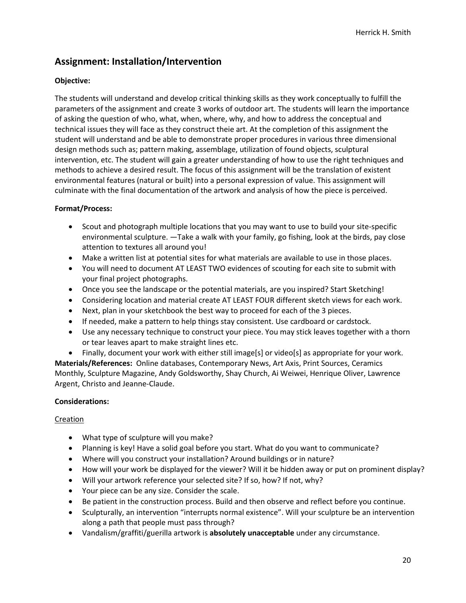# **Assignment: Installation/Intervention**

#### **Objective:**

The students will understand and develop critical thinking skills as they work conceptually to fulfill the parameters of the assignment and create 3 works of outdoor art. The students will learn the importance of asking the question of who, what, when, where, why, and how to address the conceptual and technical issues they will face as they construct theie art. At the completion of this assignment the student will understand and be able to demonstrate proper procedures in various three dimensional design methods such as; pattern making, assemblage, utilization of found objects, sculptural intervention, etc. The student will gain a greater understanding of how to use the right techniques and methods to achieve a desired result. The focus of this assignment will be the translation of existent environmental features (natural or built) into a personal expression of value. This assignment will culminate with the final documentation of the artwork and analysis of how the piece is perceived.

#### **Format/Process:**

- Scout and photograph multiple locations that you may want to use to build your site-specific environmental sculpture. —Take a walk with your family, go fishing, look at the birds, pay close attention to textures all around you!
- Make a written list at potential sites for what materials are available to use in those places.
- You will need to document AT LEAST TWO evidences of scouting for each site to submit with your final project photographs.
- Once you see the landscape or the potential materials, are you inspired? Start Sketching!
- Considering location and material create AT LEAST FOUR different sketch views for each work.
- Next, plan in your sketchbook the best way to proceed for each of the 3 pieces.
- If needed, make a pattern to help things stay consistent. Use cardboard or cardstock.
- Use any necessary technique to construct your piece. You may stick leaves together with a thorn or tear leaves apart to make straight lines etc.

• Finally, document your work with either still image[s] or video[s] as appropriate for your work. **Materials/References:** Online databases, Contemporary News, Art Axis, Print Sources, Ceramics Monthly, Sculpture Magazine, Andy Goldsworthy, Shay Church, Ai Weiwei, Henrique Oliver, Lawrence Argent, Christo and Jeanne-Claude.

#### **Considerations:**

#### Creation

- What type of sculpture will you make?
- Planning is key! Have a solid goal before you start. What do you want to communicate?
- Where will you construct your installation? Around buildings or in nature?
- How will your work be displayed for the viewer? Will it be hidden away or put on prominent display?
- Will your artwork reference your selected site? If so, how? If not, why?
- Your piece can be any size. Consider the scale.
- Be patient in the construction process. Build and then observe and reflect before you continue.
- Sculpturally, an intervention "interrupts normal existence". Will your sculpture be an intervention along a path that people must pass through?
- Vandalism/graffiti/guerilla artwork is **absolutely unacceptable** under any circumstance.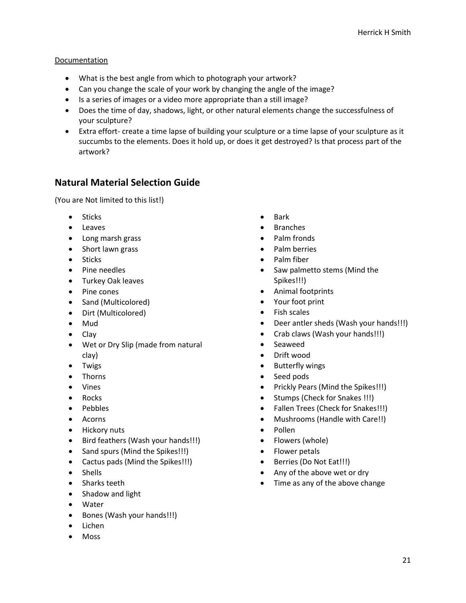#### Documentation

- What is the best angle from which to photograph your artwork?
- Can you change the scale of your work by changing the angle of the image?
- Is a series of images or a video more appropriate than a still image?
- Does the time of day, shadows, light, or other natural elements change the successfulness of your sculpture?
- Extra effort- create a time lapse of building your sculpture or a time lapse of your sculpture as it succumbs to the elements. Does it hold up, or does it get destroyed? Is that process part of the artwork?

# **Natural Material Selection Guide**

(You are Not limited to this list!)

- Sticks
- Leaves
- Long marsh grass
- Short lawn grass
- Sticks
- Pine needles
- Turkey Oak leaves
- Pine cones
- Sand (Multicolored)
- Dirt (Multicolored)
- Mud
- Clay
- Wet or Dry Slip (made from natural clay)
- Twigs
- Thorns
- Vines
- Rocks
- Pebbles
- Acorns
- Hickory nuts
- Bird feathers (Wash your hands!!!)
- Sand spurs (Mind the Spikes!!!)
- Cactus pads (Mind the Spikes!!!)
- Shells
- Sharks teeth
- Shadow and light
- Water
- Bones (Wash your hands!!!)
- Lichen
- Moss
- Bark
- **Branches**
- Palm fronds
- Palm berries
- Palm fiber
- Saw palmetto stems (Mind the Spikes!!!)
- Animal footprints
- Your foot print
- Fish scales
- Deer antler sheds (Wash your hands!!!)
- Crab claws (Wash your hands!!!)
- Seaweed
- Drift wood
- **Butterfly wings**
- Seed pods
- Prickly Pears (Mind the Spikes!!!)
- Stumps (Check for Snakes !!!)
- Fallen Trees (Check for Snakes!!!)
- Mushrooms (Handle with Care!!)
- Pollen
- Flowers (whole)
- Flower petals
- Berries (Do Not Eat!!!)
- Any of the above wet or dry
- Time as any of the above change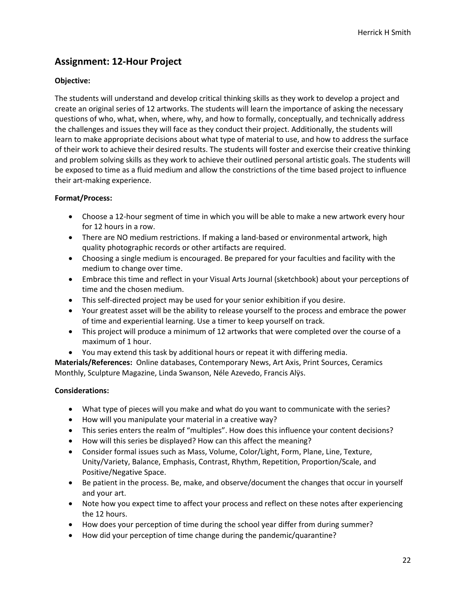# **Assignment: 12-Hour Project**

#### **Objective:**

The students will understand and develop critical thinking skills as they work to develop a project and create an original series of 12 artworks. The students will learn the importance of asking the necessary questions of who, what, when, where, why, and how to formally, conceptually, and technically address the challenges and issues they will face as they conduct their project. Additionally, the students will learn to make appropriate decisions about what type of material to use, and how to address the surface of their work to achieve their desired results. The students will foster and exercise their creative thinking and problem solving skills as they work to achieve their outlined personal artistic goals. The students will be exposed to time as a fluid medium and allow the constrictions of the time based project to influence their art-making experience.

#### **Format/Process:**

- Choose a 12-hour segment of time in which you will be able to make a new artwork every hour for 12 hours in a row.
- There are NO medium restrictions. If making a land-based or environmental artwork, high quality photographic records or other artifacts are required.
- Choosing a single medium is encouraged. Be prepared for your faculties and facility with the medium to change over time.
- Embrace this time and reflect in your Visual Arts Journal (sketchbook) about your perceptions of time and the chosen medium.
- This self-directed project may be used for your senior exhibition if you desire.
- Your greatest asset will be the ability to release yourself to the process and embrace the power of time and experiential learning. Use a timer to keep yourself on track.
- This project will produce a minimum of 12 artworks that were completed over the course of a maximum of 1 hour.
- You may extend this task by additional hours or repeat it with differing media.

**Materials/References:** Online databases, Contemporary News, Art Axis, Print Sources, Ceramics Monthly, Sculpture Magazine, Linda Swanson, Néle Azevedo, Francis Alÿs.

#### **Considerations:**

- What type of pieces will you make and what do you want to communicate with the series?
- How will you manipulate your material in a creative way?
- This series enters the realm of "multiples". How does this influence your content decisions?
- How will this series be displayed? How can this affect the meaning?
- Consider formal issues such as Mass, Volume, Color/Light, Form, Plane, Line, Texture, Unity/Variety, Balance, Emphasis, Contrast, Rhythm, Repetition, Proportion/Scale, and Positive/Negative Space.
- Be patient in the process. Be, make, and observe/document the changes that occur in yourself and your art.
- Note how you expect time to affect your process and reflect on these notes after experiencing the 12 hours.
- How does your perception of time during the school year differ from during summer?
- How did your perception of time change during the pandemic/quarantine?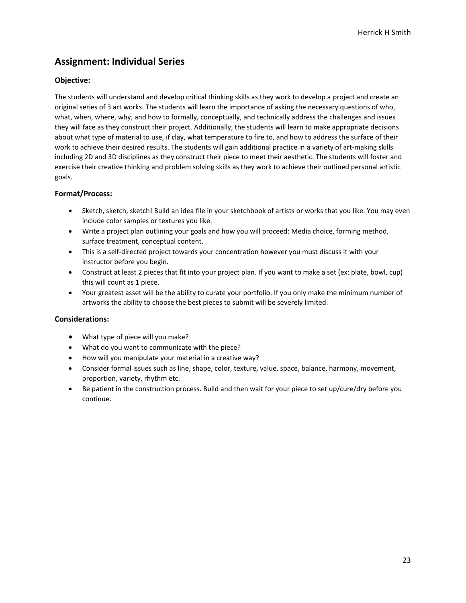# **Assignment: Individual Series**

#### **Objective:**

The students will understand and develop critical thinking skills as they work to develop a project and create an original series of 3 art works. The students will learn the importance of asking the necessary questions of who, what, when, where, why, and how to formally, conceptually, and technically address the challenges and issues they will face as they construct their project. Additionally, the students will learn to make appropriate decisions about what type of material to use, if clay, what temperature to fire to, and how to address the surface of their work to achieve their desired results. The students will gain additional practice in a variety of art-making skills including 2D and 3D disciplines as they construct their piece to meet their aesthetic. The students will foster and exercise their creative thinking and problem solving skills as they work to achieve their outlined personal artistic goals.

#### **Format/Process:**

- Sketch, sketch, sketch! Build an idea file in your sketchbook of artists or works that you like. You may even include color samples or textures you like.
- Write a project plan outlining your goals and how you will proceed: Media choice, forming method, surface treatment, conceptual content.
- This is a self-directed project towards your concentration however you must discuss it with your instructor before you begin.
- Construct at least 2 pieces that fit into your project plan. If you want to make a set (ex: plate, bowl, cup) this will count as 1 piece.
- Your greatest asset will be the ability to curate your portfolio. If you only make the minimum number of artworks the ability to choose the best pieces to submit will be severely limited.

#### **Considerations:**

- What type of piece will you make?
- What do you want to communicate with the piece?
- How will you manipulate your material in a creative way?
- Consider formal issues such as line, shape, color, texture, value, space, balance, harmony, movement, proportion, variety, rhythm etc.
- Be patient in the construction process. Build and then wait for your piece to set up/cure/dry before you continue.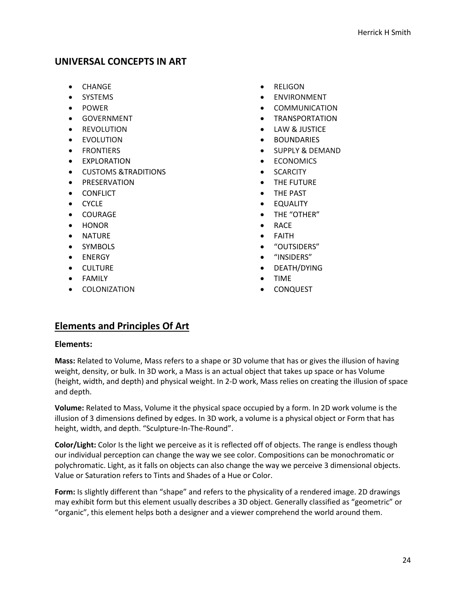#### **UNIVERSAL CONCEPTS IN ART**

- CHANGE
- SYSTEMS
- POWER
- GOVERNMENT
- REVOLUTION
- EVOLUTION
- FRONTIERS
- EXPLORATION
- CUSTOMS &TRADITIONS
- PRESERVATION
- CONFLICT
- CYCLE
- COURAGE
- HONOR
- NATURE
- SYMBOLS
- ENERGY
- CULTURE
- FAMILY
- COLONIZATION
- RELIGON
- **ENVIRONMENT**
- **COMMUNICATION**
- TRANSPORTATION
- LAW & JUSTICE
- **BOUNDARIES**
- SUPPLY & DEMAND
- ECONOMICS
- **SCARCITY**
- THE FUTURE
- THE PAST
- **EQUALITY**
- THE "OTHER"
- RACE
- **FAITH**
- "OUTSIDERS"
- "INSIDERS"
- DEATH/DYING
- TIME
- CONQUEST

# **Elements and Principles Of Art**

#### **Elements:**

**Mass:** Related to Volume, Mass refers to a shape or 3D volume that has or gives the illusion of having weight, density, or bulk. In 3D work, a Mass is an actual object that takes up space or has Volume (height, width, and depth) and physical weight. In 2-D work, Mass relies on creating the illusion of space and depth.

**Volume:** Related to Mass, Volume it the physical space occupied by a form. In 2D work volume is the illusion of 3 dimensions defined by edges. In 3D work, a volume is a physical object or Form that has height, width, and depth. "Sculpture-In-The-Round".

**Color/Light:** Color Is the light we perceive as it is reflected off of objects. The range is endless though our individual perception can change the way we see color. Compositions can be monochromatic or polychromatic. Light, as it falls on objects can also change the way we perceive 3 dimensional objects. Value or Saturation refers to Tints and Shades of a Hue or Color.

**Form:** Is slightly different than "shape" and refers to the physicality of a rendered image. 2D drawings may exhibit form but this element usually describes a 3D object. Generally classified as "geometric" or "organic", this element helps both a designer and a viewer comprehend the world around them.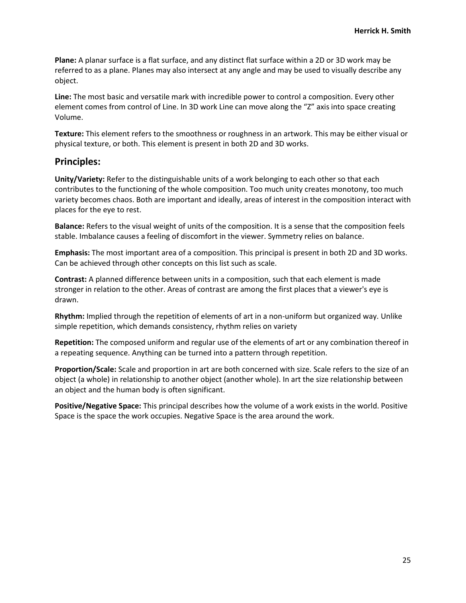**Plane:** A planar surface is a flat surface, and any distinct flat surface within a 2D or 3D work may be referred to as a plane. Planes may also intersect at any angle and may be used to visually describe any object.

**Line:** The most basic and versatile mark with incredible power to control a composition. Every other element comes from control of Line. In 3D work Line can move along the "Z" axis into space creating Volume.

**Texture:** This element refers to the smoothness or roughness in an artwork. This may be either visual or physical texture, or both. This element is present in both 2D and 3D works.

#### **Principles:**

**Unity/Variety:** Refer to the distinguishable units of a work belonging to each other so that each contributes to the functioning of the whole composition. Too much unity creates monotony, too much variety becomes chaos. Both are important and ideally, areas of interest in the composition interact with places for the eye to rest.

**Balance:** Refers to the visual weight of units of the composition. It is a sense that the composition feels stable. Imbalance causes a feeling of discomfort in the viewer. Symmetry relies on balance.

**Emphasis:** The most important area of a composition. This principal is present in both 2D and 3D works. Can be achieved through other concepts on this list such as scale.

**Contrast:** A planned difference between units in a composition, such that each element is made stronger in relation to the other. Areas of contrast are among the first places that a viewer's eye is drawn.

**Rhythm:** Implied through the repetition of elements of art in a non-uniform but organized way. Unlike simple repetition, which demands consistency, rhythm relies on variety

**Repetition:** The composed uniform and regular use of the elements of art or any combination thereof in a repeating sequence. Anything can be turned into a pattern through repetition.

**Proportion/Scale:** Scale and proportion in art are both concerned with size. Scale refers to the size of an object (a whole) in relationship to another object (another whole). In art the size relationship between an object and the human body is often significant.

**Positive/Negative Space:** This principal describes how the volume of a work exists in the world. Positive Space is the space the work occupies. Negative Space is the area around the work.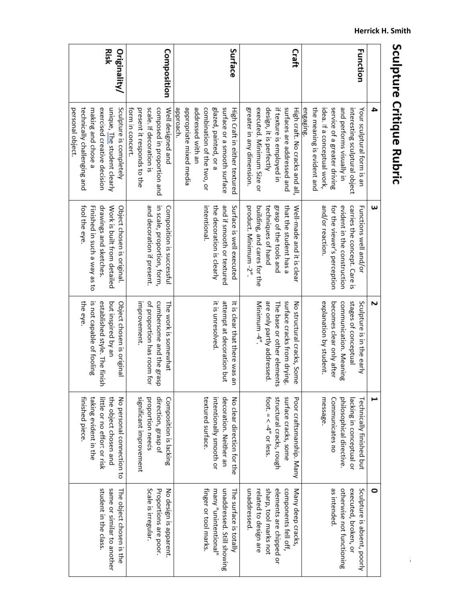|              | 4                              | ω                            | Z                             | ⊢                             | 0                           |
|--------------|--------------------------------|------------------------------|-------------------------------|-------------------------------|-----------------------------|
| Function     | Your sculptural form is an     | Functions well and/or        | Sculpture is in the early     | Technically finished but      | Sculpture is absent, poorly |
|              | interesting sculptural object  | carries the concept. Care is | stages of conceptual          | lacking in conceptual or      | executed, broken, or        |
|              | and performs visually in       | evident in the construction  | communication. Meaning        | philosophical directive.      | otherwise not functioning   |
|              | service of a greater driving   | for the viewer's perception  | becomes clear only after      | Communicates no               | as intended.                |
|              | idea. If a conceptual work,    | and/or reaction.             | explanation by student.       | message.                      |                             |
|              | the meaning is evident and     |                              |                               |                               |                             |
|              | engaging.                      |                              |                               |                               |                             |
| Craft        | High craft. No cracks and all, | Well-made and it is clear    | No structural cracks, Some    | Poor craftsmanship. Many      | Many deep cracks,           |
|              | surfaces are addressed and     | that the student has a       | surface cracks from drying.   | surface cracks, some          | components fell off,        |
|              | if texture is employed in      | grasp of the tools and       | The base or other elements    | structural cracks, rough      | elements are chipped or     |
|              | design, it is perfectly        | techniques of hand           | are only partly addressed.    | foot. $=$ $<$ $-4$ " or less. | sharp, tool marks not       |
|              | executed. Minimum Size or      | building, and cares for the  | Minimum $-4''$                |                               | related to design are       |
|              | greater in any dimension.      | product. Minimum -2".        |                               |                               | unaddressed.                |
| Surface      | High Craft in either textured  | Surface is well executed     | It is clear that there was an | No clear direction tor the    | The surface is totally      |
|              | surface or a smooth surface    | and if smooth or textured    | attempt at decoration but     | decoration. Neither an        | unaddressed. Still showing  |
|              | glazed, painted, or a          | the decoration is clearly    | it is unresolved.             | intentionally smooth or       | many "unintentional"        |
|              | combination of the two, or     | intentional.                 |                               | textured surface.             | finger or tool marks.       |
|              | addressed with an              |                              |                               |                               |                             |
|              | appropriate mixed media        |                              |                               |                               |                             |
|              | approach.                      |                              |                               |                               |                             |
| Composition  | Well designed and              | Composition is successful    | The work is somewhat          | Composition is lacking        | No design is apparent.      |
|              | composed in proportion and     | in scale, proportion, form,  | cumbersome and the grasp      | direction, grasp of           | Proportions are poor.       |
|              | scale. If decoration is        | and decoration if present.   | of proportion has room for    | proportion needs              | Scale is irregular.         |
|              | present it responds to the     |                              | improvement.                  | significant improvement       |                             |
|              | form in concert.               |                              |                               |                               |                             |
| Originality/ | Sculpture is completely        | Object chosen is original.   | Object chosen is original     | No personal connection to     | The object chosen is the    |
| Risk         | unique, The student clearly    | Work is built from detailed  | but inspired by an            | the object chosen and         | same or similar to another  |
|              | exercised creative decision    | drawings and sketches.       | established style. The finish | little or no effort or risk   | student in the class.       |
|              | making and chose a             | Finished in such a way as to | is not capable of fooling     | taking evident in the         |                             |
|              | technically challenging and    | fool the eye                 | the eye.                      | finished piece.               |                             |
|              | personal object.               |                              |                               |                               |                             |
|              |                                |                              |                               |                               |                             |

# Sculpture Critique Rubric

26